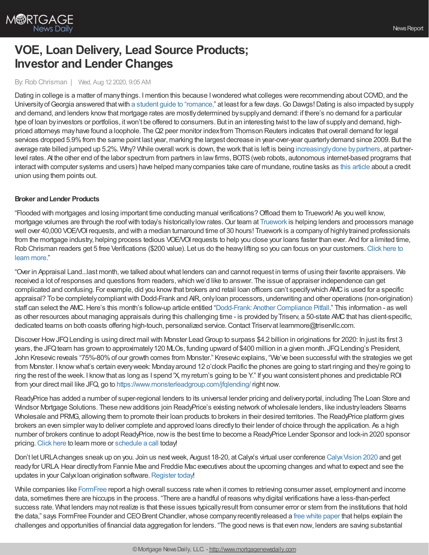

# **VOE, Loan Delivery, Lead Source Products; Investor and Lender Changes**

By: Rob Chrisman | Wed, Aug 12 2020, 9:05 AM

Dating in college is a matter of many things. I mention this because I wondered what colleges were recommending about COVID, and the University of Georgia answered that with a student guide to ["romance,](https://www.onlineathens.com/news/20200810/uga-posts-mdash-then-removes-mdash-covid-19-sex-advice)" at least for a few days. Go Dawgs! Dating is also impacted by supply and demand, and lenders knowthat mortgage rates are mostlydetermined bysupplyand demand: if there's no demand for a particular type of loan byinvestors or portfolios, itwon't be offered to consumers. But in an interesting twist to the lawof supplyand demand, highpriced attorneys mayhave found a loophole. TheQ2 peer monitor indexfrom Thomson Reuters indicates that overall demand for legal services dropped 5.9% from the same point last year, marking the largest decrease in year-over-year quarterly demand since 2009. But the average rate billed jumped up 5.2%. Why? While overall work is down, the work that is left is being [increasinglydone](https://www.law.com/2020/08/10/overall-demand-for-big-law-is-down-but-rate-growth-hit-an-all-time-high-why/) bypartners, at partnerlevel rates. At the other end of the labor spectrum from partners in lawfirms, BOTS(web robots, autonomous internet-based programs that interactwith computer systems and users) have helped manycompanies take care of mundane, routine tasks as this [article](https://www.cutimes.com/2020/08/10/bots-help-meet-mortgage-demand/?slreturn=20200711072110) about a credit union using them points out.

## **Broker andLender Products**

"Flooded with mortgages and losing important time conducting manual verifications?Offload them to Truework! As you well know, mortgage volumes are through the roof with today's historically low rates. Our team at [Truework](https://www.truework.com/) is helping lenders and processors manage well over 40,000 VOE/VOI requests, and with a median turnaround time of 30 hours! Truework is a company of highly trained professionals from the mortgage industry, helping process tedious VOE/VOI requests to help you close your loans faster than ever. And for a limited time, Rob Chrisman readers get 5 free Verifications (\$200 value). Let us do the heavylifting so you can focus on your [customers.Click](https://engage.truework.com/NL-2020-0812-Chrisman_LP-Newsletter-Verifier-Demo-Chrisman.html) here to learn more."

"Over in Appraisal Land...last month,we talked aboutwhat lenders can and cannot request in terms of using their favorite appraisers. We received a lot of responses and questions from readers, which we'd like to answer. The issue of appraiser independence can get complicated and confusing. For example, did you knowthat brokers and retail loan officers can't specifywhich AMCis used for a specific appraisal? To be completely compliant with Dodd-Frank and AIR, only loan processors, underwriting and other operations (non-origination) staff can select the AMC. Here's this month's follow-up article entitled ["Dodd-Frank:](https://triservllc.com/doddfrank?utm_source=newsletter&utm_medium=email&utm_campaign=chrisman&utm_content=doddfrank) Another Compliance Pitfall." This information - as well as other resources about managing appraisals during this challenging time - is provided by Triserv, a 50-state AMC that has client-specific, dedicated teams on both coasts offering high-touch, personalized service. Contact Triservat learnmore@triservllc.com.

Discover How JFQ Lending is using direct mail with Monster Lead Group to surpass \$4.2 billion in originations for 2020: In just its first 3 years, the JFQ team has grown to approximately 120 MLOs, funding upward of \$400 million in a given month. JFQ Lending's President, John Kresevic reveals "75%-80%of our growth comes from Monster." Kresevic explains, "We've been successful with the strategies we get from Monster. I knowwhat's certain everyweek: Mondayaround 12 o'clock Pacific the phones are going to start ringing and they're going to ring the rest of the week. I knowthat as long as I spend 'X, myreturn's going to be Y." If you want consistent phones and predictable ROI from your direct mail like JFQ, go to <https://www.monsterleadgroup.com/jfqlending/> right now.

ReadyPrice has added a number of super-regional lenders to its universal lender pricing and deliveryportal, including The Loan Store and Windsor Mortgage Solutions. These new additions join ReadyPrice's existing network of wholesale lenders, like industry leaders Stearns Wholesale and PRMG, allowing them to promote their loan products to brokers in their desired territories. The ReadyPrice platform gives brokers an even simpler wayto deliver complete and approved loans directlyto their lender of choice through the application. As a high number of brokers continue to adopt ReadyPrice, now is the best time to become a ReadyPrice Lender Sponsor and lock-in 2020 sponsor pricing. [Click](http://www.readyprice.com/lenders) here to learn more or [schedule](https://meetings.hubspot.com/readyprice/lender-sync) a call today!

Don't let URLA changes sneak up on you. Join us next week, August 18-20, at Calyx's virtual user conference Calyx Vision 2020 and get ready for URLA. Hear directly from Fannie Mae and Freddie Mac executives about the upcoming changes and what to expect and see the updates in your Calyx loan origination software. [Register](https://www.eventbrite.com/e/calyx-vision-2020-user-conference-tickets-104161471766) today!

While companies like [FormFree](https://www.formfree.com/) report a high overall success rate when it comes to retrieving consumer asset, employment and income data, sometimes there are hiccups in the process. "There are a handful of reasons whydigital verifications have a less-than-perfect success rate. What lenders maynot realize is that these issues typicallyresult from consumer error or stem from the institutions that hold the data," says FormFree Founder and CEO Brent Chandler, whose company recently released a free white [paper](https://www.formfree.com/data-aggregation-white-paper/) that helps explain the challenges and opportunities of financial data aggregation for lenders. "The good news is that even now, lenders are saving substantial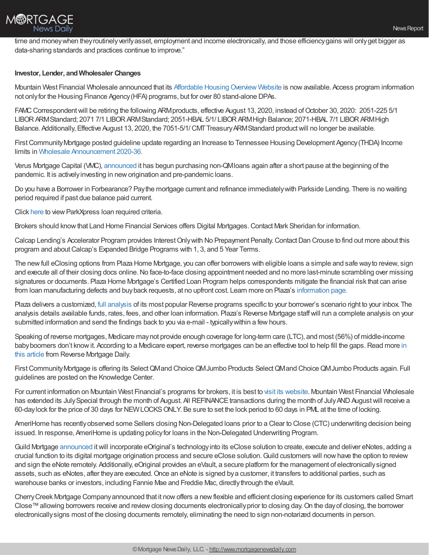time and money when they routinely verify asset, employment and income electronically, and those efficiency gains will only get bigger as data-sharing standards and practices continue to improve."

## **Investor, Lender, andWholesaler Changes**

Mountain West Financial Wholesale announced that its Affordable Housing Overview Website is now available. Access program information not onlyfor the Housing Finance Agency(HFA) programs, but for over 80 stand-alone DPAs.

FAMC Correspondent will be retiring the following ARM products, effective August 13, 2020, instead of October 30, 2020: 2051-225 5/1 LIBORARMStandard; 2071 7/1 LIBORARMStandard; 2051-HBAL 5/1/ LIBORARMHigh Balance; 2071-HBAL 7/1 LIBORARMHigh Balance. Additionally, Effective August 13, 2020, the 7051-5/1/ CMT Treasury ARM Standard product will no longer be available.

First Community Mortgage posted guideline update regarding an Increase to Tennessee Housing Development Agency (THDA) Income limits in Wholesale [Announcement](https://kc.fcmpartners.com/wp-content/uploads/2020/08/2020-36-Wholesale-Announcements.pdf) 2020-36.

Verus Mortgage Capital (VMC), [announced](https://verusmc.com/) it has begun purchasing non-QMloans again after a short pause at the beginning of the pandemic. It is activelyinvesting in neworigination and pre-pandemic loans.

Do you have a Borrower in Forbearance? Paythe mortgage current and refinance immediatelywith Parkside Lending. There is no waiting period required if past due balance paid current.

Click [here](https://files.constantcontact.com/7893279a601/5ffebf6f-9be5-4fc0-831b-519aca675d31.pdf) to view ParkXpress loan required criteria.

Brokers should knowthat Land Home Financial Services offers Digital Mortgages.Contact Mark Sheridan for information.

Calcap Lending's Accelerator Program provides InterestOnlywith No Prepayment Penalty.ContactDan Crouse to find out more about this program and about Calcap's Expanded Bridge Programs with 1, 3, and 5 Year Terms.

The newfull eClosing options from Plaza Home Mortgage, you can offer borrowers with eligible loans a simple and safe wayto review, sign and execute all of their closing docs online.No face-to-face closing appointment needed and no more last-minute scrambling over missing signatures or documents. Plaza Home Mortgage's Certified Loan Program helps correspondents mitigate the financial risk that can arise from loan manufacturing defects and buyback requests, at no upfront cost. Learn more on Plaza's [information](https://info.plazahomemortgage.com/certified-loan-program?utm_campaign=National%20Correspondent%20News%20%252B%20Updates&utm_source=hs_email&utm_medium=email&utm_content=87815293&_hsenc=p2ANqtz-8G8GigLBZzVLnbx58jcXWSSzyFBgmR17r6UpM4gmNwNB818QCENFnkEI1ic5CTb8P2cjR4ZmRKwAWsSJ4OX9bBNYd5SskZ-mJiYwZN3BMIrXX_8T8&_hsmi=87815293) page.

Plaza delivers a customized, full [analysis](https://share.plazahomemortgage.com/e2t/c/*W62vQcd3v9tFYW7wytQz4rpnh80/*W3j-qxV4qYbCjW2Rv6RL1s5v1X0/5/f18dQhb0Sq5N8Y9YsWW61DttL1k63-nW1DWxWf56BhTpW6Blzl21SrC8dVLDpF18CSvhfW8BSwjj37-yW0N8t3HlYTxSKhW64RBnX8tzLt_N62KSMFPL0NKW61LyJd8rCB9JW5wL96L1sL3M0N3Mybvydlp3hW58jlLX3381T2W7PNjjf96zRPSW6bT6L38RRjRDW5CktzD83KHrFW7J39qH2m8DqKW2HT8mr6l4Sh9W4ldc768hz0YsW806yj370ml3sW3qcHmy56T-lWW6wr1w16yxqSzW312TFW4_YY9XW70lG1C8sHwLSW30n5395mzwPpW2Xtn438PGjWMW5plt2H5nG_kFW56Fbj77kVQx8W4Nwsfq5r8vptW8NT7Ql1g8SfgW5R_vzj1VvrK4W8F-3bd92L8yXVCmXLH1sl7pFW5gwRpH7LVLSvW7htX4B49kJ93W1rdrs_22TNxnV9Mb7745yC-JW3NnNcW8s4py7VNdj9Z8SQbCTVCjYjP8rY3SgW2bd9Zp8ml2mfW6GvgfK8JlvTqW8k0rLX6mJ_WjW6RsJyp17VGb6MtJCL43_BXzf2Lyyhf11) of its most popular Reverse programs specific to your borrower's scenario right to your inbox. The analysis details available funds, rates, fees, and other loan information. Plaza's Reverse Mortgage staffwill run a complete analysis on your submitted information and send the findings back to you via e-mail - typicallywithin a fewhours.

Speaking of reverse mortgages, Medicare maynot provide enough coverage for long-term care (LTC), and most (56%) of middle-income baby boomers don't know it. According to a Medicare expert, reverse mortgages can be an effective tool to help fill the gaps. Read more in this article from Reverse Mortgage Daily.

First Community Mortgage is offering its Select QMand Choice QM Jumbo Products Select QMand Choice QM Jumbo Products again. Full guidelines are posted on the Knowledge Center.

For current information on Mountain West Financial's programs for brokers, it is best to visit its [website.](http://www.mwfinc.com/hot-program/) Mountain West Financial Wholesale has extended its July Special through the month of August. All REFINANCE transactions during the month of July AND August will receive a 60-daylock for the price of 30 days for NEWLOCKSONLY. Be sure to set the lock period to 60 days in PML at the time of locking.

AmeriHome has recently observed some Sellers closing Non-Delegated loans prior to a Clear to Close (CTC) underwriting decision being issued. In response, AmeriHome is updating policyfor loans in the Non-Delegated Underwriting Program.

Guild Mortgage [announced](https://www.eoriginal.com/press-releases/guild-mortgage-announces-partnership-with-eoriginal-to-provide-expanded-eclosing-capabilities/) itwill incorporate eOriginal's technologyinto its eClose solution to create, execute and deliver eNotes, adding a crucial function to its digital mortgage origination process and secure eClose solution.Guild customers will nowhave the option to review and sign the eNote remotely. Additionally, eOriginal provides an eVault, a secure platform for the management of electronicallysigned assets, such as eNotes, after they are executed. Once an eNote is signed by a customer, it transfers to additional parties, such as warehouse banks or investors, including Fannie Mae and Freddie Mac, directlythrough the eVault.

CherryCreek Mortgage Companyannounced that it nowoffers a newflexible and efficient closing experience for its customers called Smart Close™ allowing borrowers receive and review closing documents electronically prior to closing day. On the day of closing, the borrower electronicallysigns most of the closing documents remotely, eliminating the need to sign non-notarized documents in person.